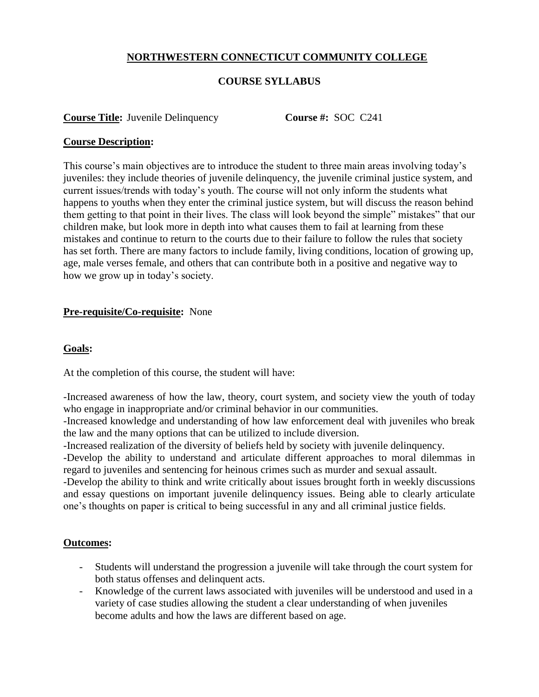## **NORTHWESTERN CONNECTICUT COMMUNITY COLLEGE**

## **COURSE SYLLABUS**

#### **Course Title:** Juvenile Delinquency **Course #:** SOC C241

#### **Course Description:**

This course's main objectives are to introduce the student to three main areas involving today's juveniles: they include theories of juvenile delinquency, the juvenile criminal justice system, and current issues/trends with today's youth. The course will not only inform the students what happens to youths when they enter the criminal justice system, but will discuss the reason behind them getting to that point in their lives. The class will look beyond the simple" mistakes" that our children make, but look more in depth into what causes them to fail at learning from these mistakes and continue to return to the courts due to their failure to follow the rules that society has set forth. There are many factors to include family, living conditions, location of growing up, age, male verses female, and others that can contribute both in a positive and negative way to how we grow up in today's society.

### **Pre-requisite/Co-requisite:** None

## **Goals:**

At the completion of this course, the student will have:

-Increased awareness of how the law, theory, court system, and society view the youth of today who engage in inappropriate and/or criminal behavior in our communities.

-Increased knowledge and understanding of how law enforcement deal with juveniles who break the law and the many options that can be utilized to include diversion.

-Increased realization of the diversity of beliefs held by society with juvenile delinquency.

-Develop the ability to understand and articulate different approaches to moral dilemmas in regard to juveniles and sentencing for heinous crimes such as murder and sexual assault.

-Develop the ability to think and write critically about issues brought forth in weekly discussions and essay questions on important juvenile delinquency issues. Being able to clearly articulate one's thoughts on paper is critical to being successful in any and all criminal justice fields.

### **Outcomes:**

- Students will understand the progression a juvenile will take through the court system for both status offenses and delinquent acts.
- Knowledge of the current laws associated with juveniles will be understood and used in a variety of case studies allowing the student a clear understanding of when juveniles become adults and how the laws are different based on age.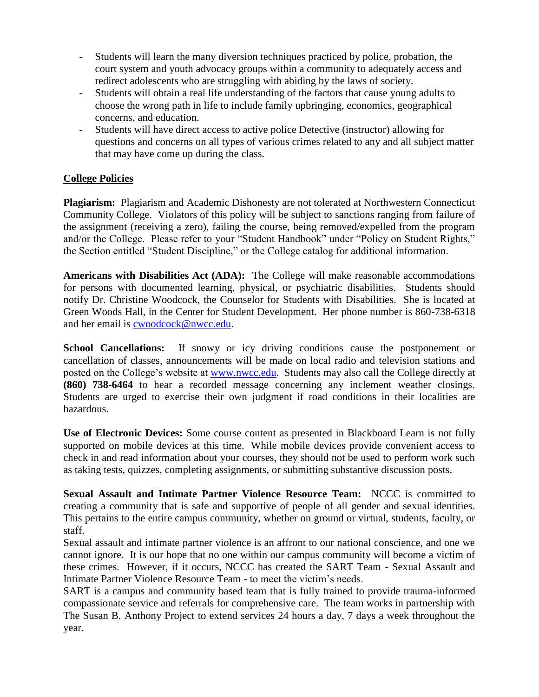- Students will learn the many diversion techniques practiced by police, probation, the court system and youth advocacy groups within a community to adequately access and redirect adolescents who are struggling with abiding by the laws of society.
- Students will obtain a real life understanding of the factors that cause young adults to choose the wrong path in life to include family upbringing, economics, geographical concerns, and education.
- Students will have direct access to active police Detective (instructor) allowing for questions and concerns on all types of various crimes related to any and all subject matter that may have come up during the class.

# **College Policies**

**Plagiarism:** Plagiarism and Academic Dishonesty are not tolerated at Northwestern Connecticut Community College. Violators of this policy will be subject to sanctions ranging from failure of the assignment (receiving a zero), failing the course, being removed/expelled from the program and/or the College. Please refer to your "Student Handbook" under "Policy on Student Rights," the Section entitled "Student Discipline," or the College catalog for additional information.

**Americans with Disabilities Act (ADA):** The College will make reasonable accommodations for persons with documented learning, physical, or psychiatric disabilities. Students should notify Dr. Christine Woodcock, the Counselor for Students with Disabilities. She is located at Green Woods Hall, in the Center for Student Development. Her phone number is 860-738-6318 and her email is [cwoodcock@nwcc.edu.](mailto:cwoodcock@nwcc.edu)

**School Cancellations:** If snowy or icy driving conditions cause the postponement or cancellation of classes, announcements will be made on local radio and television stations and posted on the College's website at [www.nwcc.edu.](http://www.nwcc.edu/) Students may also call the College directly at **(860) 738-6464** to hear a recorded message concerning any inclement weather closings. Students are urged to exercise their own judgment if road conditions in their localities are hazardous.

**Use of Electronic Devices:** Some course content as presented in Blackboard Learn is not fully supported on mobile devices at this time. While mobile devices provide convenient access to check in and read information about your courses, they should not be used to perform work such as taking tests, quizzes, completing assignments, or submitting substantive discussion posts.

**Sexual Assault and Intimate Partner Violence Resource Team:** NCCC is committed to creating a community that is safe and supportive of people of all gender and sexual identities. This pertains to the entire campus community, whether on ground or virtual, students, faculty, or staff.

Sexual assault and intimate partner violence is an affront to our national conscience, and one we cannot ignore. It is our hope that no one within our campus community will become a victim of these crimes. However, if it occurs, NCCC has created the SART Team - Sexual Assault and Intimate Partner Violence Resource Team - to meet the victim's needs.

SART is a campus and community based team that is fully trained to provide trauma-informed compassionate service and referrals for comprehensive care. The team works in partnership with The Susan B. Anthony Project to extend services 24 hours a day, 7 days a week throughout the year.